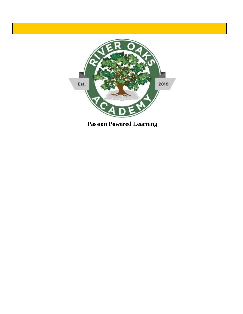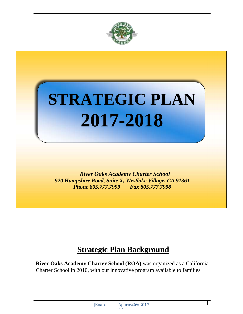

# **STRATEGIC PLAN 2017-2018**

 *River Oaks Academy Charter School 920 Hampshire Road, Suite X, Westlake Village, CA 91361 Phone 805.777.7999 Fax 805.777.7998* 

### **Strategic Plan Background**

**River Oaks Academy Charter School (ROA)** was organized as a California Charter School in 2010, with our innovative program available to families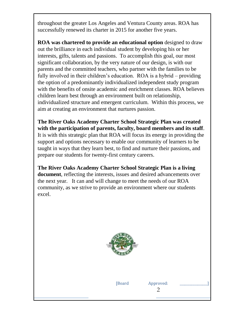throughout the greater Los Angeles and Ventura County areas. ROA has successfully renewed its charter in 2015 for another five years.

**ROA was chartered to provide an educational option** designed to draw out the brilliance in each individual student by developing his or her interests, gifts, talents and passions. To accomplish this goal, our most significant collaboration, by the very nature of our design, is with our parents and the committed teachers, who partner with the families to be fully involved in their children's education. ROA is a hybrid – providing the option of a predominantly individualized independent study program with the benefits of onsite academic and enrichment classes. ROA believes children learn best through an environment built on relationship, individualized structure and emergent curriculum. Within this process, we aim at creating an environment that nurtures passion.

**The River Oaks Academy Charter School Strategic Plan was created with the participation of parents, faculty, board members and its staff**. It is with this strategic plan that ROA will focus its energy in providing the support and options necessary to enable our community of learners to be taught in ways that they learn best, to find and nurture their passions, and prepare our students for twenty-first century careers.

**The River Oaks Academy Charter School Strategic Plan is a living document**, reflecting the interests, issues and desired advancements over the next year. It can and will change to meet the needs of our ROA community, as we strive to provide an environment where our students excel.



[Board Approved: \_\_\_\_\_\_\_\_\_\_\_\_\_\_\_\_\_]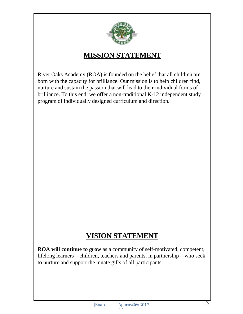

#### **MISSION STATEMENT**

River Oaks Academy (ROA) is founded on the belief that all children are born with the capacity for brilliance. Our mission is to help children find, nurture and sustain the passion that will lead to their individual forms of brilliance. To this end, we offer a non-traditional K-12 independent study program of individually designed curriculum and direction.

#### **VISION STATEMENT**

**ROA will continue to grow** as a community of self-motivated, competent, lifelong learners—children, teachers and parents, in partnership—who seek to nurture and support the innate gifts of all participants.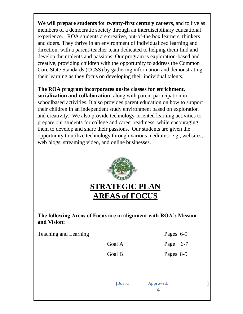**We will prepare students for twenty-first century careers**, and to live as members of a democratic society through an interdisciplinary educational experience. ROA students are creative, out-of-the box learners, thinkers and doers. They thrive in an environment of individualized learning and direction, with a parent-teacher team dedicated to helping them find and develop their talents and passions. Our program is exploration-based and creative, providing children with the opportunity to address the Common Core State Standards (CCSS) by gathering information and demonstrating their learning as they focus on developing their individual talents.

**The ROA program incorporates onsite classes for enrichment, socialization and collaboration**, along with parent participation in schoolbased activities. It also provides parent education on how to support their children in an independent study environment based on exploration and creativity. We also provide technology-oriented learning activities to prepare our students for college and career readiness, while encouraging them to develop and share their passions. Our students are given the opportunity to utilize technology through various mediums: e.g., websites, web blogs, streaming video, and online businesses.



**The following Areas of Focus are in alignment with ROA's Mission and Vision:** 

| Teaching and Learning |        | Pages 6-9 |  |
|-----------------------|--------|-----------|--|
|                       | Goal A | Page 6-7  |  |
|                       | Goal B | Pages 8-9 |  |
|                       |        |           |  |
|                       |        |           |  |
|                       | [Board | Approved: |  |
|                       |        | 4         |  |
|                       |        |           |  |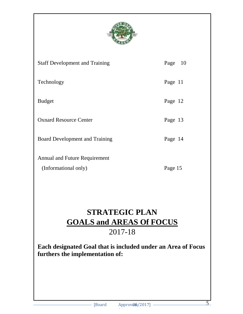

| <b>Staff Development and Training</b>                        | Page<br>-10 |
|--------------------------------------------------------------|-------------|
| Technology                                                   | Page 11     |
| <b>Budget</b>                                                | Page 12     |
| <b>Oxnard Resource Center</b>                                | Page 13     |
| <b>Board Development and Training</b>                        | Page 14     |
| <b>Annual and Future Requirement</b><br>(Informational only) | Page 15     |

#### **STRATEGIC PLAN GOALS and AREAS Of FOCUS** 2017-18

**Each designated Goal that is included under an Area of Focus furthers the implementation of:**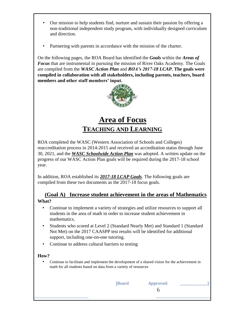- Our mission to help students find, nurture and sustain their passion by offering a non-traditional independent study program, with individually designed curriculum and direction.
- Partnering with parents in accordance with the mission of the charter.

On the following pages, the ROA Board has identified the *Goals* within the *Areas of Focus* that are instrumental in pursuing the mission of River Oaks Academy. The Goals are compiled from the *WASC Action Plan* and *ROA's 2017-18 LCAP.* **The goals were compiled in collaboration with all stakeholders, including parents, teachers, board members and other staff members' input.**



#### **Area of Focus TEACHING AND LEARNING**

ROA completed the WASC (Western Association of Schools and Colleges) reaccreditation process in 2014-2015 and received an accreditation status through June 30, 2021, and the *WASC Schoolwide Action Plan* was adopted. A written update on the progress of our WASC Action Plan goals will be required during the 2017-18 school year.

In addition, ROA established its *2017-18 LCAP Goals*. The following goals are compiled from these two documents as the 2017-18 focus goals.

#### **(Goal A) Increase student achievement in the areas of Mathematics What?**

- Continue to implement a variety of strategies and utilize resources to support all students in the area of math in order to increase student achievement in mathematics.
- Students who scored at Level 2 (Standard Nearly Met) and Standard 1 (Standard Not Met) on the 2017 CAASPP test results will be identified for additional support, including one-on-one tutoring.
- Continue to address cultural barriers to testing

#### **How?**

• Continue to facilitate and implement the development of a shared vision for the achievement in math for all students based on data from a variety of resources

Approved: 6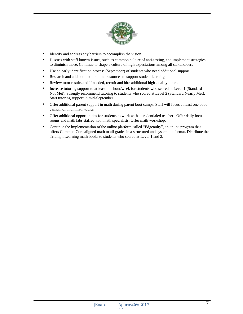

- Identify and address any barriers to accomplish the vision
- Discuss with staff known issues, such as common culture of anti-testing, and implement strategies to diminish those. Continue to shape a culture of high expectations among all stakeholders
- Use an early identification process (September) of students who need additional support.
- Research and add additional online resources to support student learning
- Review tutor results and if needed, recruit and hire additional high-quality tutors
- Increase tutoring support to at least one hour/week for students who scored at Level 1 (Standard Not Met). Strongly recommend tutoring to students who scored at Level 2 (Standard Nearly Met). Start tutoring support in mid-September
- Offer additional parent support in math during parent boot camps. Staff will focus at least one boot camp/month on math topics
- Offer additional opportunities for students to work with a credentialed teacher. Offer daily focus rooms and math labs staffed with math specialists. Offer math workshop.
- Continue the implementation of the online platform called "Edgenuity", an online program that offers Common Core aligned math to all grades in a structured and systematic format. Distribute the Triumph Learning math books to students who scored at Level 1 and 2.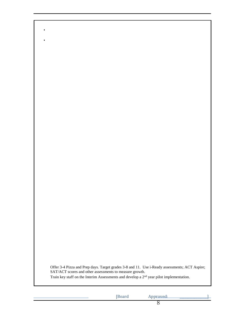Offer 3-4 Pizza and Prep days. Target grades 3-8 and 11. Use i-Ready assessments; ACT Aspire; SAT/ACT scores and other assessments to measure growth. Train key staff on the Interim Assessments and develop a  $2<sup>nd</sup>$  year pilot implementation.

•

•

| ۰,<br>× |  |
|---------|--|
|---------|--|

8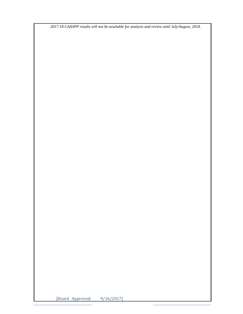*2017-18 CAASPP results will not be available for analysis and review until July/August, 2018.*

[Board Approved: 9/16/2017]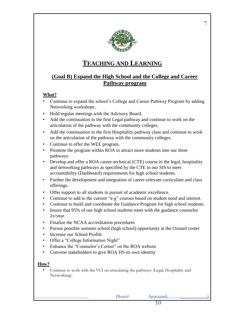

7

#### **TEACHING AND LEARNING**

#### **(Goal B) Expand the High School and the College and Career Pathway program**

#### **What?**

- Continue to expand the school's College and Career Pathway Program by adding Networking workshops.
- Hold regular meetings with the Advisory Board.
- Add the continuation to the first Legal pathway and continue to work on the articulation of the pathway with the community colleges.
- Add the continuation to the first Hospitality pathway class and continue to work on the articulation of the pathway with the community colleges.
- Continue to offer the WEE program.
- Promote the program within ROA to attract more students into our three pathways.
- Develop and offer a ROA career-technical (CTE) course in the legal, hospitality and networking pathways as specified by the CTE in our SIS to meet accountability (Dashboard) requirements for high school students.
- Further the development and integration of career-relevant curriculum and class offerings.
- Offer support to all students in pursuit of academic excellence.
- Continue to add to the current "a-g" courses based on student need and interest.
- Continue to build and coordinate the Guidance Program for high school students.
- Insure that 95% of our high school students meet with the guidance counselor 2x/year.
- Finalize the NCAA accreditation procedures
- Pursue possible summer school (high school) opportunity at the Oxnard center
- Increase our School Profile
- Offer a "College Information Night"
- Enhance the "Counselor's Corner" on the ROA website
- Convene stakeholders to give ROA HS its own identity

#### **How?**

• Continue to work with the VCI on articulating the pathways (Legal, Hospitality and Networking).

[Board Approved: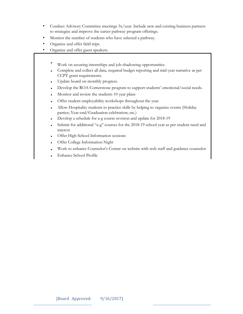- Conduct Advisory Committee meetings 3x/year. Include new and existing business partners to strategize and improve the career pathway program offerings.
- Monitor the number of students who have selected a pathway.
- Organize and offer field trips.
- Organize and offer guest speakers.
	- Work on securing internships and job-shadowing opportunities.
	- Complete and collect all data, required budget reporting and mid-year narrative as per CCPT grant requirements.
	- Update board on monthly progress.
	- Develop the ROA Cornerstone program to support students' emotional/social needs.
	- Monitor and review the students 10 year plans
	- Offer student employability workshops throughout the year.
	- Allow Hospitality students to practice skills by helping to organize events (Holiday parties; Year-end/Graduation celebration; etc.)
	- Develop a schedule for a-g course revision and update for 2018-19
	- Submit for additional "a-g" courses for the 2018-19 school year as per student need and interest
	- Offer High School Information sessions
	- Offer College Information Night
	- Work to enhance Counselor's Corner on website with web staff and guidance counselor
	- Enhance School Profile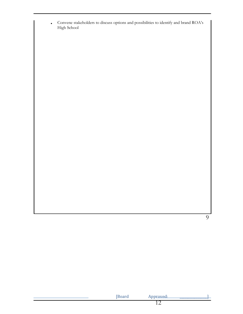• Convene stakeholders to discuss options and possibilities to identify and brand ROA's High School

| [Board | App <u>roved:</u> |  |
|--------|-------------------|--|
|        |                   |  |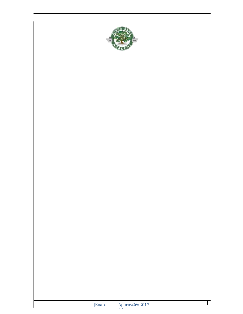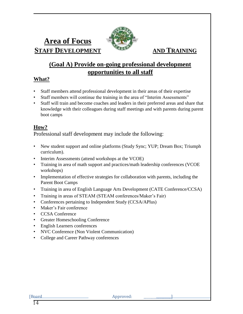#### **Area of Focus STAFF DEVELOPMENT** AND **TRAINING**



#### **(Goal A) Provide on-going professional development opportunities to all staff**

#### **What?**

- Staff members attend professional development in their areas of their expertise
- Staff members will continue the training in the area of "Interim Assessments"
- Staff will train and become coaches and leaders in their preferred areas and share that knowledge with their colleagues during staff meetings and with parents during parent boot camps

#### **How?**

Professional staff development may include the following:

- New student support and online platforms (Study Sync; YUP; Dream Box; Triumph curriculum).
- Interim Assessments (attend workshops at the VCOE)
- Training in area of math support and practices/math leadership conferences (VCOE workshops)
- Implementation of effective strategies for collaboration with parents, including the Parent Boot Camps
- Training in area of English Language Arts Development (CATE Conference/CCSA)
- Training in areas of STEAM (STEAM conferences/Maker's Fair)
- Conferences pertaining to Independent Study (CCSA/APlus)
- Maker's Fair conference
- CCSA Conference
- Greater Homeschooling Conference
- English Learners conferences
- NVC Conference (Non Violent Communication)
- College and Career Pathway conferences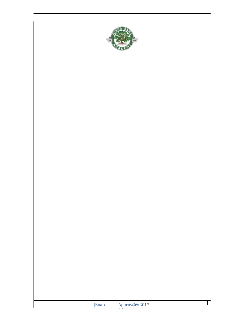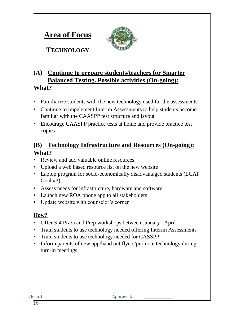



**TECHNOLOGY**

#### **(A) Continue to prepare students/teachers for Smarter Balanced Testing. Possible activities (On-going): What?**

- Familiarize students with the new technology used for the assessments
- Continue to impelement Interim Assessments to help students become familiar with the CAASPP test structure and layout
- Encourage CAASPP practice tests at home and provide practice test copies

#### **(B) Technology Infrastructure and Resources (On-going): What?**

- Review and add valuable online resources
- Upload a web based resource list on the new website
- Laptop program for socio-economically disadvantaged students (LCAP Goal #3)
- Assess needs for infrastructure, hardware and software
- Launch new ROA phone app to all stakeholders
- Update website with counselor's corner

#### **How?**

- Offer 3-4 Pizza and Prep workshops between January –April
- Train students to use technology needed offering Interim Assessments
- Train students to use technology needed for CASSPP
- Inform parents of new app/hand out flyers/promote technology during turn-in meetings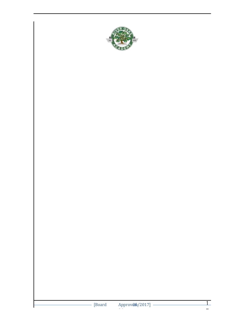

9/

1 $\overline{a}$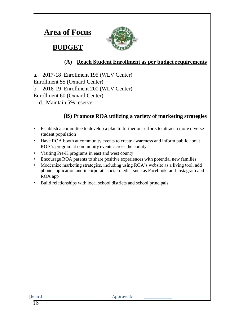### **Area of Focus BUDGET**



#### **(A) Reach Student Enrollment as per budget requirements**

a. 2017-18 Enrollment 195 (WLV Center)

Enrollment 55 (Oxnard Center)

b. 2018-19 Enrollment 200 (WLV Center)

Enrollment 60 (Oxnard Center)

d. Maintain 5% reserve

#### **(B) Promote ROA utilizing a variety of marketing strategies**

- Establish a committee to develop a plan to further our efforts to attract a more diverse student population
- Have ROA booth at community events to create awareness and inform public about ROA's program at community events across the county
- Visiting Pre-K programs in east and west county
- Encourage ROA parents to share positive experiences with potential new families
- Modernize marketing strategies, including using ROA's website as a living tool, add phone application and incorporate social media, such as Facebook, and Instagram and ROA app
- Build relationships with local school districts and school principals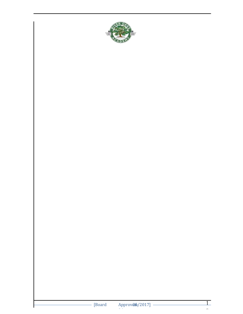

9/

1 $\sim$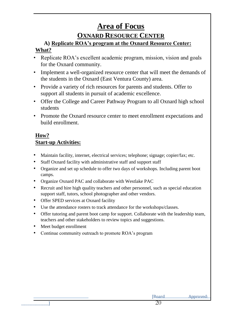## **Area of Focus**

#### **OXNARD RESOURCE CENTER**

#### **A) Replicate ROA's program at the Oxnard Resource Center: What?**

- Replicate ROA's excellent academic program, mission, vision and goals for the Oxnard community.
- Implement a well-organized resource center that will meet the demands of the students in the Oxnard (East Ventura County) area.
- Provide a variety of rich resources for parents and students. Offer to support all students in pursuit of academic excellence.
- Offer the College and Career Pathway Program to all Oxnard high school students
- Promote the Oxnard resource center to meet enrollment expectations and build enrollment.

#### **How? Start-up Activities:**

- Maintain facility, internet, electrical services; telephone; signage; copier/fax; etc.
- Staff Oxnard facility with administrative staff and support staff
- Organize and set up schedule to offer two days of workshops. Including parent boot camps.
- Organize Oxnard PAC and collaborate with Westlake PAC
- Recruit and hire high quality teachers and other personnel, such as special education support staff, tutors, school photographer and other vendors.
- Offer SPED services at Oxnard facility
- Use the attendance rosters to track attendance for the workshops/classes.
- Offer tutoring and parent boot camp for support. Collaborate with the leadership team, teachers and other stakeholders to review topics and suggestions.
- Meet budget enrollment
- Continue community outreach to promote ROA's program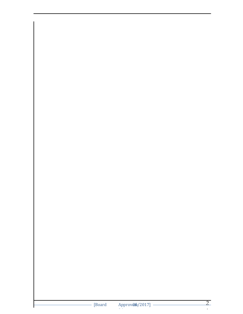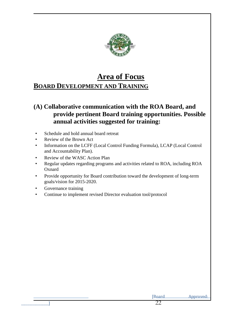

#### **Area of Focus BOARD DEVELOPMENT AND TRAINING**

#### **(A) Collaborative communication with the ROA Board, and provide pertinent Board training opportunities. Possible annual activities suggested for training:**

- Schedule and hold annual board retreat
- Review of the Brown Act
- Information on the LCFF (Local Control Funding Formula), LCAP (Local Control and Accountability Plan).
- Review of the WASC Action Plan
- Regular updates regarding programs and activities related to ROA, including ROA Oxnard
- Provide opportunity for Board contribution toward the development of long-term goals/vision for 2015-2020.
- Governance training
- Continue to implement revised Director evaluation tool/protocol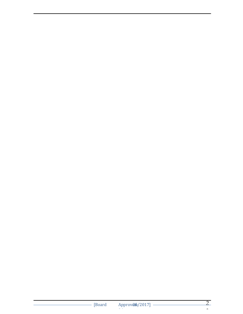#### - [Board

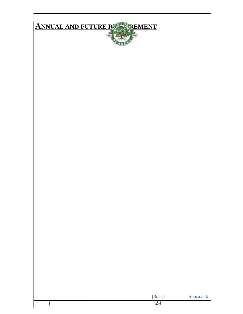# **ANNUAL AND FUTURE REPAREMENT**